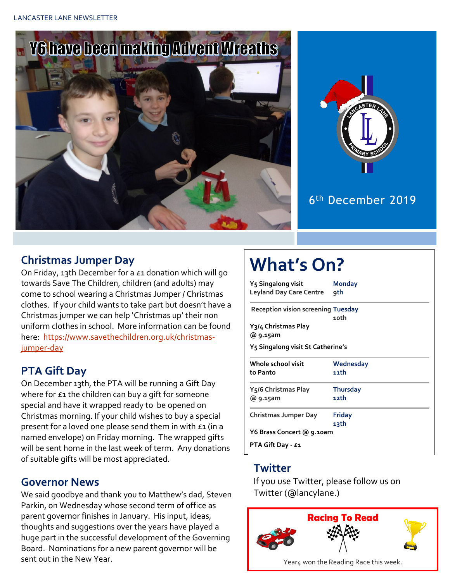



6 th December 2019

#### **Christmas Jumper Day**

On Friday, 13th December for a £1 donation which will go towards Save The Children, children (and adults) may come to school wearing a Christmas Jumper / Christmas clothes. If your child wants to take part but doesn't have a Christmas jumper we can help 'Christmas up' their non uniform clothes in school. More information can be found here: [https://www.savethechildren.org.uk/christmas](https://www.savethechildren.org.uk/christmas-jumper-day)[jumper-day](https://www.savethechildren.org.uk/christmas-jumper-day)

#### **PTA Gift Day**

On December 13th, the PTA will be running a Gift Day where for  $E_1$  the children can buy a gift for someone special and have it wrapped ready to be opened on Christmas morning. If your child wishes to buy a special present for a loved one please send them in with  $\epsilon_1$  (in a named envelope) on Friday morning. The wrapped gifts will be sent home in the last week of term. Any donations of suitable gifts will be most appreciated.

#### **Governor News**

We said goodbye and thank you to Matthew's dad, Steven Parkin, on Wednesday whose second term of office as parent governor finishes in January. His input, ideas, thoughts and suggestions over the years have played a huge part in the successful development of the Governing Board. Nominations for a new parent governor will be sent out in the New Year.

# **What's On?**

| $\blacksquare$                            |                 |  |  |  |  |
|-------------------------------------------|-----------------|--|--|--|--|
| Y5 Singalong visit                        | <b>Monday</b>   |  |  |  |  |
| <b>Leyland Day Care Centre</b>            | qth             |  |  |  |  |
| <b>Reception vision screening Tuesday</b> |                 |  |  |  |  |
|                                           | 10th            |  |  |  |  |
| Y3/4 Christmas Play                       |                 |  |  |  |  |
| @ 9.15am                                  |                 |  |  |  |  |
| Y5 Singalong visit St Catherine's         |                 |  |  |  |  |
| Whole school visit                        | Wednesday       |  |  |  |  |
| to Panto                                  | 11th            |  |  |  |  |
| Y5/6 Christmas Play                       | <b>Thursday</b> |  |  |  |  |
| @ 9.15am                                  | 12th            |  |  |  |  |
| Christmas Jumper Day                      | <b>Friday</b>   |  |  |  |  |
|                                           | 13th            |  |  |  |  |
| Y6 Brass Concert @ 9.10am                 |                 |  |  |  |  |
| PTA Gift Day - £1                         |                 |  |  |  |  |
|                                           |                 |  |  |  |  |

#### **Twitter**

If you use Twitter, please follow us on Twitter (@lancylane.)

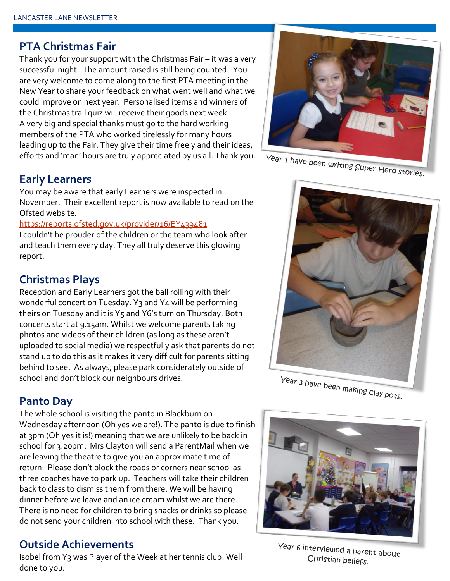#### **PTA Christmas Fair**

Thank you for your support with the Christmas Fair – it was a very successful night. The amount raised is still being counted. You are very welcome to come along to the first PTA meeting in the New Year to share your feedback on what went well and what we could improve on next year. Personalised items and winners of the Christmas trail quiz will receive their goods next week. A very big and special thanks must go to the hard working members of the PTA who worked tirelessly for many hours leading up to the Fair. They give their time freely and their ideas, efforts and 'man' hours are truly appreciated by us all. Thank you.

#### **Early Learners**

You may be aware that early Learners were inspected in November. Their excellent report is now available to read on the Ofsted website.

#### <https://reports.ofsted.gov.uk/provider/16/EY439481>

I couldn't be prouder of the children or the team who look after and teach them every day. They all truly deserve this glowing report.

#### **Christmas Plays**

Reception and Early Learners got the ball rolling with their wonderful concert on Tuesday. Y<sub>3</sub> and Y<sub>4</sub> will be performing theirs on Tuesday and it is Y5 and Y6's turn on Thursday. Both concerts start at 9.15am. Whilst we welcome parents taking photos and videos of their children (as long as these aren't uploaded to social media) we respectfully ask that parents do not stand up to do this as it makes it very difficult for parents sitting behind to see. As always, please park considerately outside of school and don't block our neighbours drives.

#### **Panto Day**

The whole school is visiting the panto in Blackburn on Wednesday afternoon (Oh yes we are!). The panto is due to finish at 3pm (Oh yes it is!) meaning that we are unlikely to be back in school for 3.20pm. Mrs Clayton will send a ParentMail when we are leaving the theatre to give you an approximate time of return. Please don't block the roads or corners near school as three coaches have to park up. Teachers will take their children back to class to dismiss them from there. We will be having dinner before we leave and an ice cream whilst we are there. There is no need for children to bring snacks or drinks so please do not send your children into school with these. Thank you.

#### **Outside Achievements**

Isobel from Y3 was Player of the Week at her tennis club. Well done to you.



Year 1 have been writing Super Hero stories.



Year 3 have been making clay pots.



Year 6 interviewed a parent about Christian beliefs.